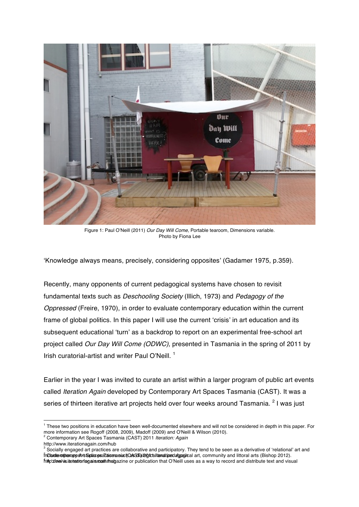

Figure 1: Paul O'Neill (2011) *Our Day Will Come,* Portable tearoom, Dimensions variable. Photo by Fiona Lee

'Knowledge always means, precisely, considering opposites' (Gadamer 1975, p.359).

Recently, many opponents of current pedagogical systems have chosen to revisit fundamental texts such as *Deschooling Society* (Illich, 1973) and *Pedagogy of the Oppressed* (Freire, 1970), in order to evaluate contemporary education within the current frame of global politics. In this paper I will use the current 'crisis' in art education and its subsequent educational 'turn' as a backdrop to report on an experimental free-school art project called *Our Day Will Come (ODWC),* presented in Tasmania in the spring of 2011 by Irish curatorial-artist and writer Paul O'Neill.<sup>1</sup>

Earlier in the year I was invited to curate an artist within a larger program of public art events called *Iteration Again* developed by Contemporary Art Spaces Tasmania (CAST). It was a series of thirteen iterative art projects held over four weeks around Tasmania. <sup>2</sup> I was iust

 $<sup>1</sup>$  These two positions in education have been well-documented elsewhere and will not be considered in depth in this paper. For</sup> more information see Rogoff (2008, 2009), Madoff (2009) and O'Neill & Wilson (2010).

<sup>2</sup> Contemporary Art Spaces Tasmania (CAST) 2011 *Iteration: Again*

http://www.iterationagain.com/hub

Socially engaged art practices are collaborative and participatory. They tend to be seen as a derivative of 'relational' art and fn**Cludie wiperapostrsGiplacesaCasemai.ct(CasSilīal20ical/lænd/pedagoajic**al art, community and littoral arts (Bishop 2012).<br>ht**k**pʻzimowinsitertationfagainsmoalth/hagazine or publication that O'Neill uses as a way to rec inCharde romberrapo strt Spaces a Laise and KasSTal 201 call and to ed again cal art, community and littoral arts (Bishop 2012).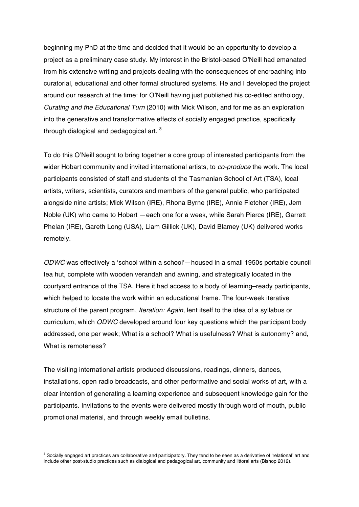beginning my PhD at the time and decided that it would be an opportunity to develop a project as a preliminary case study. My interest in the Bristol-based O'Neill had emanated from his extensive writing and projects dealing with the consequences of encroaching into curatorial, educational and other formal structured systems. He and I developed the project around our research at the time: for O'Neill having just published his co-edited anthology, *Curating and the Educational Turn* (2010) with Mick Wilson, and for me as an exploration into the generative and transformative effects of socially engaged practice, specifically through dialogical and pedagogical art.  $3$ 

To do this O'Neill sought to bring together a core group of interested participants from the wider Hobart community and invited international artists, to *co-produce* the work. The local participants consisted of staff and students of the Tasmanian School of Art (TSA), local artists, writers, scientists, curators and members of the general public, who participated alongside nine artists; Mick Wilson (IRE), Rhona Byrne (IRE), Annie Fletcher (IRE), Jem Noble (UK) who came to Hobart —each one for a week, while Sarah Pierce (IRE), Garrett Phelan (IRE), Gareth Long (USA), Liam Gillick (UK), David Blamey (UK) delivered works remotely.

*ODWC* was effectively a 'school within a school'—housed in a small 1950s portable council tea hut, complete with wooden verandah and awning, and strategically located in the courtyard entrance of the TSA. Here it had access to a body of learning–ready participants, which helped to locate the work within an educational frame. The four-week iterative structure of the parent program, *Iteration: Again,* lent itself to the idea of a syllabus or curriculum, which *ODWC* developed around four key questions which the participant body addressed, one per week; What is a school? What is usefulness? What is autonomy? and, What is remoteness?

The visiting international artists produced discussions, readings, dinners, dances, installations, open radio broadcasts, and other performative and social works of art, with a clear intention of generating a learning experience and subsequent knowledge gain for the participants. Invitations to the events were delivered mostly through word of mouth, public promotional material, and through weekly email bulletins.

 $^3$  Socially engaged art practices are collaborative and participatory. They tend to be seen as a derivative of 'relational' art and include other post-studio practices such as dialogical and pedagogical art, community and littoral arts (Bishop 2012).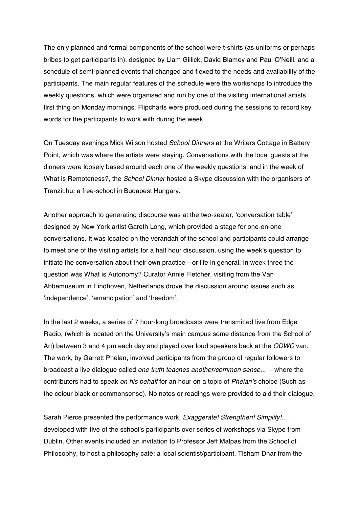The only planned and formal components of the school were t-shirts (as uniforms or perhaps bribes to get participants in), designed by Liam Gillick, David Blamey and Paul O'Neill, and a schedule of semi-planned events that changed and flexed to the needs and availability of the participants. The main regular features of the schedule were the workshops to introduce the weekly questions, which were organised and run by one of the visiting international artists first thing on Monday mornings. Flipcharts were produced during the sessions to record key words for the participants to work with during the week.

On Tuesday evenings Mick Wilson hosted *School Dinners* at the Writers Cottage in Battery Point, which was where the artists were staying. Conversations with the local guests at the dinners were loosely based around each one of the weekly questions, and in the week of What is Remoteness?, the *School Dinner* hosted a Skype discussion with the organisers of Tranzit.hu, a free-school in Budapest Hungary.

Another approach to generating discourse was at the two-seater, 'conversation table' designed by New York artist Gareth Long, which provided a stage for one-on-one conversations. It was located on the verandah of the school and participants could arrange to meet one of the visiting artists for a half hour discussion, using the week's question to initiate the conversation about their own practice—or life in general. In week three the question was What is Autonomy? Curator Annie Fletcher, visiting from the Van Abbemuseum in Eindhoven, Netherlands drove the discussion around issues such as 'independence', 'emancipation' and 'freedom'.

In the last 2 weeks, a series of 7 hour-long broadcasts were transmitted live from Edge Radio, (which is located on the University's main campus some distance from the School of Art) between 3 and 4 pm each day and played over loud speakers back at the *ODWC* van. The work, by Garrett Phelan, involved participants from the group of regular followers to broadcast a live dialogue called *one truth teaches another/common sense...* —where the contributors had to speak *on his behalf* for an hour on a topic of *Phelan's* choice (Such as the colour black or commonsense). No notes or readings were provided to aid their dialogue.

Sarah Pierce presented the performance work, *Exaggerate! Strengthen! Simplify!*…, developed with five of the school's participants over series of workshops via Skype from Dublin. Other events included an invitation to Professor Jeff Malpas from the School of Philosophy, to host a philosophy café; a local scientist/participant, Tisham Dhar from the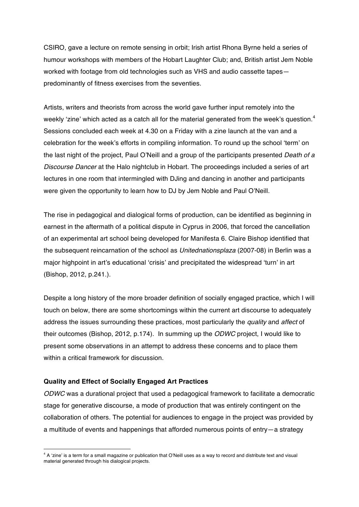CSIRO, gave a lecture on remote sensing in orbit; Irish artist Rhona Byrne held a series of humour workshops with members of the Hobart Laughter Club; and, British artist Jem Noble worked with footage from old technologies such as VHS and audio cassette tapes predominantly of fitness exercises from the seventies.

Artists, writers and theorists from across the world gave further input remotely into the weekly 'zine' which acted as a catch all for the material generated from the week's question.<sup>4</sup> Sessions concluded each week at 4.30 on a Friday with a zine launch at the van and a celebration for the week's efforts in compiling information. To round up the school 'term' on the last night of the project, Paul O'Neill and a group of the participants presented *Death of a Discourse Dancer* at the Halo nightclub in Hobart. The proceedings included a series of art lectures in one room that intermingled with DJing and dancing in another and participants were given the opportunity to learn how to DJ by Jem Noble and Paul O'Neill.

The rise in pedagogical and dialogical forms of production, can be identified as beginning in earnest in the aftermath of a political dispute in Cyprus in 2006, that forced the cancellation of an experimental art school being developed for Manifesta 6. Claire Bishop identified that the subsequent reincarnation of the school as *Unitednationsplaza* (2007-08) in Berlin was a major highpoint in art's educational 'crisis' and precipitated the widespread 'turn' in art (Bishop, 2012, p.241.).

Despite a long history of the more broader definition of socially engaged practice, which I will touch on below, there are some shortcomings within the current art discourse to adequately address the issues surrounding these practices, most particularly the *quality* and *affect* of their outcomes (Bishop, 2012, p.174). In summing up the *ODWC* project, I would like to present some observations in an attempt to address these concerns and to place them within a critical framework for discussion.

## **Quality and Effect of Socially Engaged Art Practices**

 $\overline{a}$ 

*ODWC* was a durational project that used a pedagogical framework to facilitate a democratic stage for generative discourse, a mode of production that was entirely contingent on the collaboration of others. The potential for audiences to engage in the project was provided by a multitude of events and happenings that afforded numerous points of entry—a strategy

<sup>&</sup>lt;sup>4</sup> A 'zine' is a term for a small magazine or publication that O'Neill uses as a way to record and distribute text and visual material generated through his dialogical projects.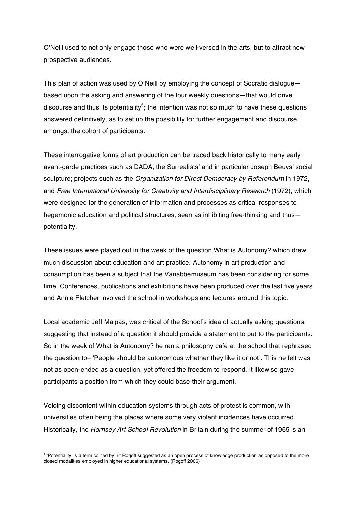O'Neill used to not only engage those who were well-versed in the arts, but to attract new prospective audiences.

This plan of action was used by O'Neill by employing the concept of Socratic dialogue based upon the asking and answering of the four weekly questions—that would drive discourse and thus its potentiality<sup>5</sup>; the intention was not so much to have these questions answered definitively, as to set up the possibility for further engagement and discourse amongst the cohort of participants.

These interrogative forms of art production can be traced back historically to many early avant-garde practices such as DADA, the Surrealists' and in particular Joseph Beuys' social sculpture; projects such as the *Organization for Direct Democracy by Referendum* in 1972, and *Free International University for Creativity and Interdisciplinary Research* (1972), which were designed for the generation of information and processes as critical responses to hegemonic education and political structures, seen as inhibiting free-thinking and thus potentiality.

These issues were played out in the week of the question What is Autonomy? which drew much discussion about education and art practice. Autonomy in art production and consumption has been a subject that the Vanabbemuseum has been considering for some time. Conferences, publications and exhibitions have been produced over the last five years and Annie Fletcher involved the school in workshops and lectures around this topic.

Local academic Jeff Malpas, was critical of the School's idea of actually asking questions, suggesting that instead of a question it should provide a statement to put to the participants. So in the week of What is Autonomy? he ran a philosophy café at the school that rephrased the question to– 'People should be autonomous whether they like it or not'. This he felt was not as open-ended as a question, yet offered the freedom to respond. It likewise gave participants a position from which they could base their argument.

Voicing discontent within education systems through acts of protest is common, with universities often being the places where some very violent incidences have occurred. Historically, the *Hornsey Art School Revolution* in Britain during the summer of 1965 is an

<sup>&</sup>lt;sup>5</sup> 'Potentiality' is a term coined by Irit Rogoff suggested as an open process of knowledge production as opposed to the more closed modalities employed in higher educational systems. (Rogoff 2006)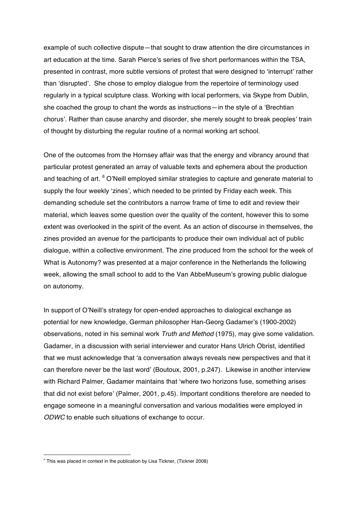example of such collective dispute—that sought to draw attention the dire circumstances in art education at the time. Sarah Pierce's series of five short performances within the TSA, presented in contrast, more subtle versions of protest that were designed to 'interrupt' rather than 'disrupted'. She chose to employ dialogue from the repertoire of terminology used regularly in a typical sculpture class. Working with local performers, via Skype from Dublin, she coached the group to chant the words as instructions—in the style of a 'Brechtian chorus'. Rather than cause anarchy and disorder, she merely sought to break peoples' train of thought by disturbing the regular routine of a normal working art school.

One of the outcomes from the Hornsey affair was that the energy and vibrancy around that particular protest generated an array of valuable texts and ephemera about the production and teaching of art. <sup>6</sup> O'Neill employed similar strategies to capture and generate material to supply the four weekly 'zines', which needed to be printed by Friday each week. This demanding schedule set the contributors a narrow frame of time to edit and review their material, which leaves some question over the quality of the content, however this to some extent was overlooked in the spirit of the event. As an action of discourse in themselves, the zines provided an avenue for the participants to produce their own individual act of public dialogue, within a collective environment. The zine produced from the school for the week of What is Autonomy? was presented at a major conference in the Netherlands the following week, allowing the small school to add to the Van AbbeMuseum's growing public dialogue on autonomy.

In support of O'Neill's strategy for open-ended approaches to dialogical exchange as potential for new knowledge, German philosopher Han-Georg Gadamer's (1900-2002) observations, noted in his seminal work *Truth and Method* (1975), may give some validation. Gadamer, in a discussion with serial interviewer and curator Hans Ulrich Obrist, identified that we must acknowledge that 'a conversation always reveals new perspectives and that it can therefore never be the last word' (Boutoux, 2001, p.247). Likewise in another interview with Richard Palmer, Gadamer maintains that 'where two horizons fuse, something arises that did not exist before' (Palmer, 2001, p.45). Important conditions therefore are needed to engage someone in a meaningful conversation and various modalities were employed in *ODWC* to enable such situations of exchange to occur.

 $6$  This was placed in context in the publication by Lisa Tickner, (Tickner 2008)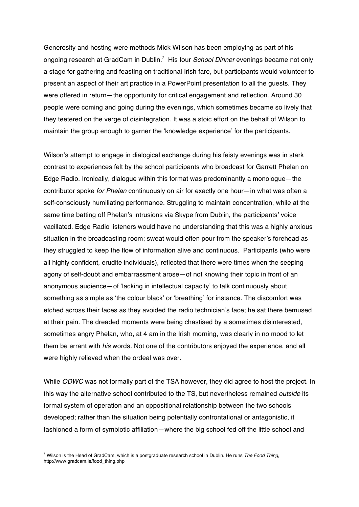Generosity and hosting were methods Mick Wilson has been employing as part of his ongoing research at GradCam in Dublin.<sup>7</sup> His four *School Dinner* evenings became not only a stage for gathering and feasting on traditional Irish fare, but participants would volunteer to present an aspect of their art practice in a PowerPoint presentation to all the guests. They were offered in return—the opportunity for critical engagement and reflection. Around 30 people were coming and going during the evenings, which sometimes became so lively that they teetered on the verge of disintegration. It was a stoic effort on the behalf of Wilson to maintain the group enough to garner the 'knowledge experience' for the participants.

Wilson's attempt to engage in dialogical exchange during his feisty evenings was in stark contrast to experiences felt by the school participants who broadcast for Garrett Phelan on Edge Radio. Ironically, dialogue within this format was predominantly a monologue—the contributor spoke *for Phelan* continuously on air for exactly one hour—in what was often a self-consciously humiliating performance. Struggling to maintain concentration, while at the same time batting off Phelan's intrusions via Skype from Dublin, the participants' voice vacillated. Edge Radio listeners would have no understanding that this was a highly anxious situation in the broadcasting room; sweat would often pour from the speaker's forehead as they struggled to keep the flow of information alive and continuous. Participants (who were all highly confident, erudite individuals), reflected that there were times when the seeping agony of self-doubt and embarrassment arose—of not knowing their topic in front of an anonymous audience—of 'lacking in intellectual capacity' to talk continuously about something as simple as 'the colour black' or 'breathing' for instance. The discomfort was etched across their faces as they avoided the radio technician's face; he sat there bemused at their pain. The dreaded moments were being chastised by a sometimes disinterested, sometimes angry Phelan, who, at 4 am in the Irish morning, was clearly in no mood to let them be errant with *his* words. Not one of the contributors enjoyed the experience, and all were highly relieved when the ordeal was over.

While *ODWC* was not formally part of the TSA however, they did agree to host the project. In this way the alternative school contributed to the TS, but nevertheless remained *outside* its formal system of operation and an oppositional relationship between the two schools developed; rather than the situation being potentially confrontational or antagonistic, it fashioned a form of symbiotic affiliation—where the big school fed off the little school and

<sup>7</sup> Wilson is the Head of GradCam, which is a postgraduate research school in Dublin. He runs *The Food Thing,*  http://www.gradcam.ie/food\_thing.php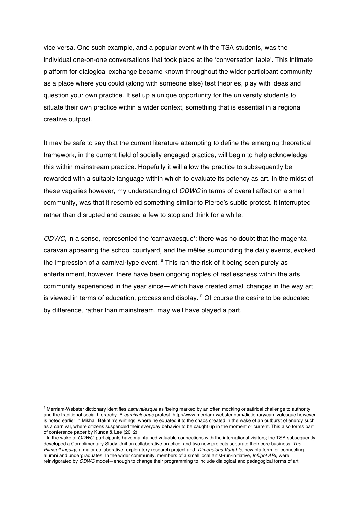vice versa. One such example, and a popular event with the TSA students, was the individual one-on-one conversations that took place at the 'conversation table'. This intimate platform for dialogical exchange became known throughout the wider participant community as a place where you could (along with someone else) test theories, play with ideas and question your own practice. It set up a unique opportunity for the university students to situate their own practice within a wider context, something that is essential in a regional creative outpost.

It may be safe to say that the current literature attempting to define the emerging theoretical framework, in the current field of socially engaged practice, will begin to help acknowledge this within mainstream practice. Hopefully it will allow the practice to subsequently be rewarded with a suitable language within which to evaluate its potency as art. In the midst of these vagaries however, my understanding of *ODWC* in terms of overall affect on a small community, was that it resembled something similar to Pierce's subtle protest. It interrupted rather than disrupted and caused a few to stop and think for a while.

*ODWC*, in a sense, represented the 'carnavaesque'; there was no doubt that the magenta caravan appearing the school courtyard, and the mêlée surrounding the daily events, evoked the impression of a carnival-type event.  $8$  This ran the risk of it being seen purely as entertainment, however, there have been ongoing ripples of restlessness within the arts community experienced in the year since—which have created small changes in the way art is viewed in terms of education, process and display.  $9$  Of course the desire to be educated by difference, rather than mainstream, may well have played a part.

<sup>8</sup> Merriam-Webster dictionary identifies *carnivalesque* as 'being marked by an often mocking or satirical challenge to authority and the traditional social hierarchy. A *carnivalesque* protest. http://www.merriam-webster.com/dictionary/carnivalesque however is noted earlier in Mikhail Bakhtin's writings, where he equated it to the chaos created in the wake of an outburst of energy such as a carnival, where citizens suspended their everyday behavior to be caught up in the moment or current. This also forms part of conference paper by Kunda & Lee (2012).

 $\theta$  In the wake of *ODWC*, participants have maintained valuable connections with the international visitors; the TSA subsequently developed a Complimentary Study Unit on collaborative practice, and two new projects separate their core business; *The Plimsoll Inquiry,* a major collaborative, exploratory research project and, *Dimensions Variable*, new platform for connecting alumni and undergraduates. In the wider community, members of a small local artist-run-initiative, *Inflight ARI,* were reinvigorated by *ODWC* model—enough to change their programming to include dialogical and pedagogical forms of art.